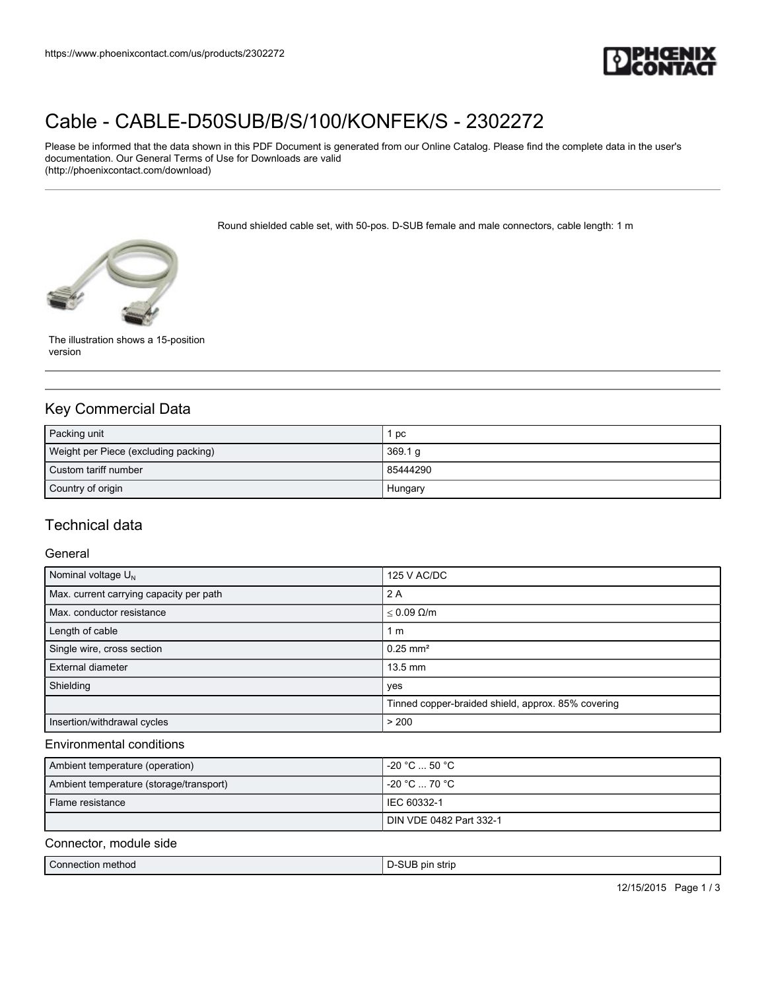

# [Cable - CABLE-D50SUB/B/S/100/KONFEK/S - 2302272](https://www.phoenixcontact.com/us/products/2302272)

Please be informed that the data shown in this PDF Document is generated from our Online Catalog. Please find the complete data in the user's documentation. Our General Terms of Use for Downloads are valid (http://phoenixcontact.com/download)

Round shielded cable set, with 50-pos. D-SUB female and male connectors, cable length: 1 m



The illustration shows a 15-position version

## Key Commercial Data

| Packing unit                         | 1 pc           |
|--------------------------------------|----------------|
| Weight per Piece (excluding packing) | 369.1 g        |
| Custom tariff number                 | 85444290       |
| Country of origin                    | <b>Hungary</b> |

## Technical data

#### General

| Nominal voltage $U_N$                   | 125 V AC/DC                                        |
|-----------------------------------------|----------------------------------------------------|
| Max. current carrying capacity per path | 2 A                                                |
| Max. conductor resistance               | $\leq 0.09 \Omega/m$                               |
| Length of cable                         | 1 <sub>m</sub>                                     |
| Single wire, cross section              | $0.25$ mm <sup>2</sup>                             |
| External diameter                       | $13.5$ mm                                          |
| Shielding                               | yes                                                |
|                                         | Tinned copper-braided shield, approx. 85% covering |
| Insertion/withdrawal cycles             | > 200                                              |

#### Environmental conditions

| Ambient temperature (operation)         | l -20 °C  50 °C .       |
|-----------------------------------------|-------------------------|
| Ambient temperature (storage/transport) | $-20 °C \dots 70 °C$    |
| Flame resistance                        | I IEC 60332-1           |
|                                         | DIN VDE 0482 Part 332-1 |

#### Connector, module side

|  | Connection method | $\sim$<br>s pir<br>strip |
|--|-------------------|--------------------------|
|--|-------------------|--------------------------|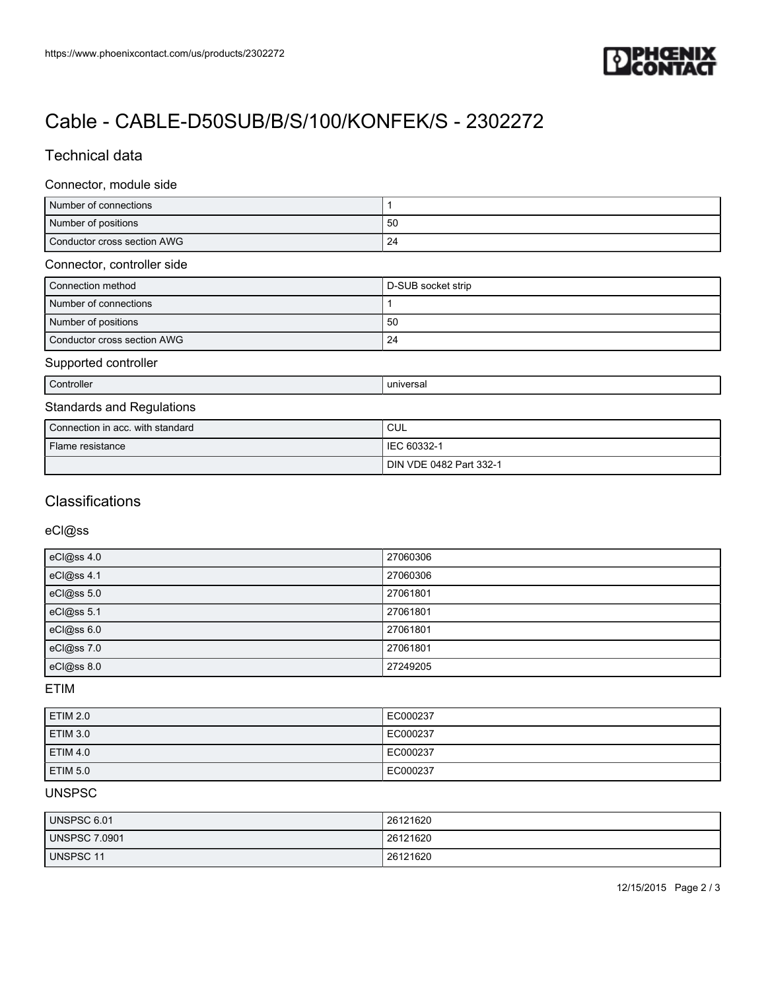

# [Cable - CABLE-D50SUB/B/S/100/KONFEK/S - 2302272](https://www.phoenixcontact.com/us/products/2302272)

## Technical data

#### Connector, module side

| Number of connections       |    |
|-----------------------------|----|
| Number of positions         | 50 |
| Conductor cross section AWG | 24 |

#### Connector, controller side

| Connection method           | D-SUB socket strip |
|-----------------------------|--------------------|
| Number of connections       |                    |
| Number of positions         | 50                 |
| Conductor cross section AWG | 24                 |

#### Supported controller

Controller and the controller controller and the controller controller and the controller controller and the controller controller and the controller controller controller and the controller controller controller controlle

## Standards and Regulations

| Connection in acc. with standard | CUL                     |
|----------------------------------|-------------------------|
| Flame resistance                 | IEC 60332-1             |
|                                  | DIN VDE 0482 Part 332-1 |

### **Classifications**

#### eCl@ss

| eCl@ss 4.0 | 27060306 |
|------------|----------|
| eCl@ss 4.1 | 27060306 |
| eCl@ss 5.0 | 27061801 |
| eCl@ss 5.1 | 27061801 |
| eCl@ss 6.0 | 27061801 |
| eCl@ss 7.0 | 27061801 |
| eCl@ss 8.0 | 27249205 |

#### ETIM

| <b>ETIM 2.0</b> | EC000237 |
|-----------------|----------|
| <b>ETIM 3.0</b> | EC000237 |
| <b>ETIM 4.0</b> | EC000237 |
| <b>ETIM 5.0</b> | EC000237 |

### UNSPSC

| UNSPSC 6.01          | 26121620 |
|----------------------|----------|
| <b>UNSPSC 7.0901</b> | 26121620 |
| UNSPSC 11            | 26121620 |